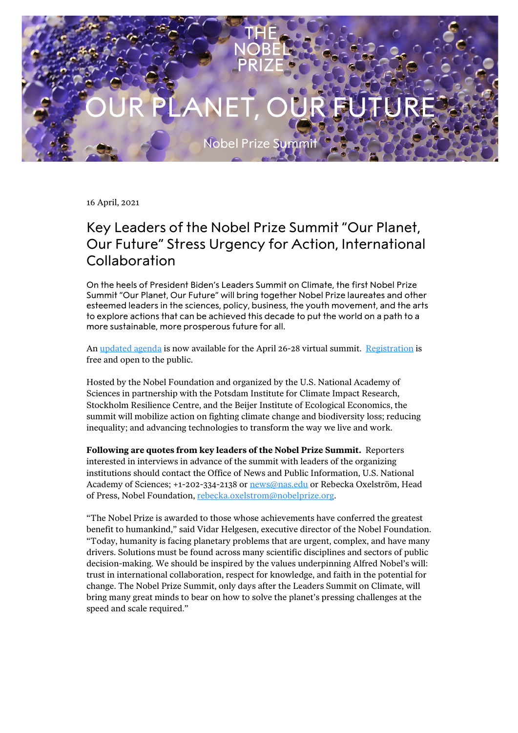Nobel Prize Summ

16 April, 2021

## Key Leaders of the Nobel Prize Summit "Our Planet, Our Future" Stress Urgency for Action, International Collaboration

On the heels of President Biden's Leaders Summit on Climate, the first Nobel Prize Summit "Our Planet, Our Future" will bring together Nobel Prize laureates and other esteemed leaders in the sciences, policy, business, the youth movement, and the arts to explore actions that can be achieved this decade to put the world on a path to a more sustainable, more prosperous future for all.

An [updated agenda](https://www.nobelprize.org/events/nobel-prize-summit/2021/agenda/#tab-content) is now available for the April 26-28 virtual summit. [Registration](https://www.nobelprize.org/events/nobel-prize-summit/2021) is free and open to the public.

Hosted by the Nobel Foundation and organized by the U.S. National Academy of Sciences in partnership with the Potsdam Institute for Climate Impact Research, Stockholm Resilience Centre, and the Beijer Institute of Ecological Economics, the summit will mobilize action on fighting climate change and biodiversity loss; reducing inequality; and advancing technologies to transform the way we live and work.

**Following are quotes from key leaders of the Nobel Prize Summit.** Reporters interested in interviews in advance of the summit with leaders of the organizing institutions should contact the Office of News and Public Information, U.S. National Academy of Sciences; +1-202-334-2138 or [news@nas.edu](mailto:news@nas.edu) or Rebecka Oxelström, Head of Press, Nobel Foundation, [rebecka.oxelstrom@nobelprize.org.](mailto:rebecka.oxelstrom@nobelprize.org)

"The Nobel Prize is awarded to those whose achievements have conferred the greatest benefit to humankind," said Vidar Helgesen, executive director of the Nobel Foundation. "Today, humanity is facing planetary problems that are urgent, complex, and have many drivers. Solutions must be found across many scientific disciplines and sectors of public decision-making. We should be inspired by the values underpinning Alfred Nobel's will: trust in international collaboration, respect for knowledge, and faith in the potential for change. The Nobel Prize Summit, only days after the Leaders Summit on Climate, will bring many great minds to bear on how to solve the planet's pressing challenges at the speed and scale required."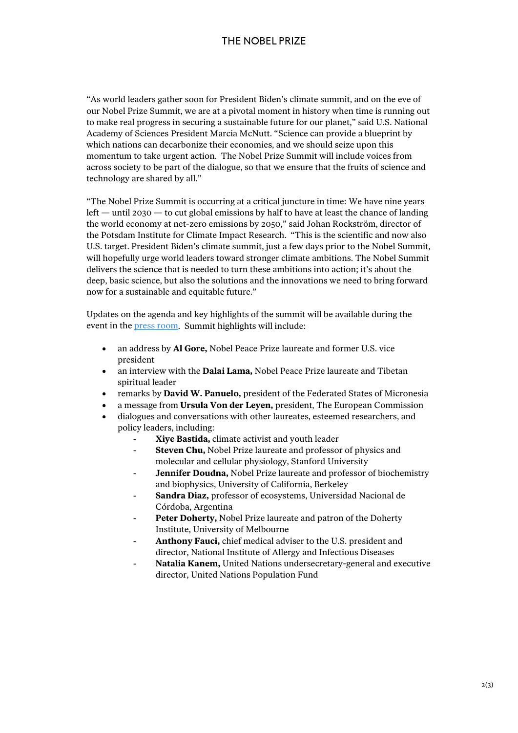"As world leaders gather soon for President Biden's climate summit, and on the eve of our Nobel Prize Summit, we are at a pivotal moment in history when time is running out to make real progress in securing a sustainable future for our planet," said U.S. National Academy of Sciences President Marcia McNutt. "Science can provide a blueprint by which nations can decarbonize their economies, and we should seize upon this momentum to take urgent action. The Nobel Prize Summit will include voices from across society to be part of the dialogue, so that we ensure that the fruits of science and technology are shared by all."

"The Nobel Prize Summit is occurring at a critical juncture in time: We have nine years left — until 2030 — to cut global emissions by half to have at least the chance of landing the world economy at net-zero emissions by 2050," said Johan Rockström, director of the Potsdam Institute for Climate Impact Research. "This is the scientific and now also U.S. target. President Biden's climate summit, just a few days prior to the Nobel Summit, will hopefully urge world leaders toward stronger climate ambitions. The Nobel Summit delivers the science that is needed to turn these ambitions into action; it's about the deep, basic science, but also the solutions and the innovations we need to bring forward now for a sustainable and equitable future."

Updates on the agenda and key highlights of the summit will be available during the event in the **press room**. Summit highlights will include:

- an address by **Al Gore,** Nobel Peace Prize laureate and former U.S. vice president
- an interview with the **Dalai Lama,** Nobel Peace Prize laureate and Tibetan spiritual leader
- remarks by **David W. Panuelo,** president of the Federated States of Micronesia
- a message from **Ursula Von der Leyen,** president, The European Commission
- dialogues and conversations with other laureates, esteemed researchers, and policy leaders, including:
	- **Xiye Bastida,** climate activist and youth leader
	- **Steven Chu,** Nobel Prize laureate and professor of physics and molecular and cellular physiology, Stanford University
	- Jennifer Doudna, Nobel Prize laureate and professor of biochemistry and biophysics, University of California, Berkeley
	- **Sandra Diaz,** professor of ecosystems, Universidad Nacional de Córdoba, Argentina
	- Peter Doherty, Nobel Prize laureate and patron of the Doherty Institute, University of Melbourne
	- Anthony Fauci, chief medical adviser to the U.S. president and director, National Institute of Allergy and Infectious Diseases
	- Natalia Kanem, United Nations undersecretary-general and executive director, United Nations Population Fund